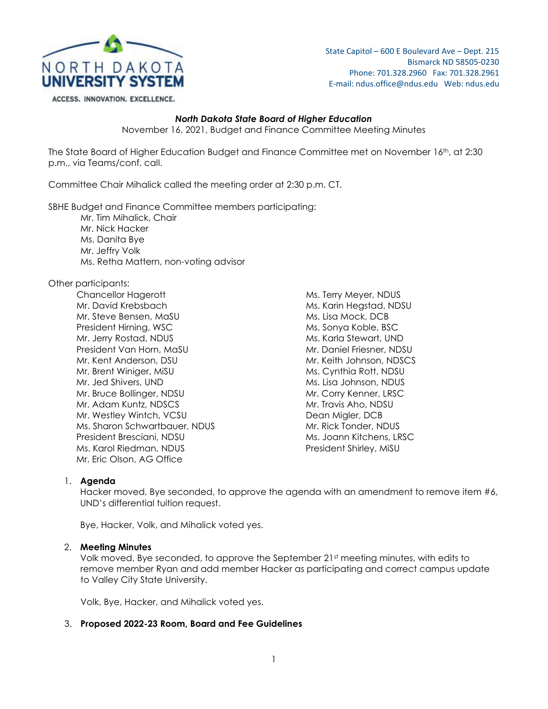

State Capitol – 600 E Boulevard Ave – Dept. 215 Bismarck ND 58505-0230 Phone: 701.328.2960 Fax: 701.328.2961 E-mail: ndus.office@ndus.edu Web: ndus.edu

ACCESS. INNOVATION. EXCELLENCE.

### *North Dakota State Board of Higher Education*

November 16, 2021, Budget and Finance Committee Meeting Minutes

The State Board of Higher Education Budget and Finance Committee met on November 16<sup>th</sup>, at 2:30 p.m., via Teams/conf. call.

Committee Chair Mihalick called the meeting order at 2:30 p.m. CT.

SBHE Budget and Finance Committee members participating:

Mr. Tim Mihalick, Chair Mr. Nick Hacker Ms. Danita Bye Mr. Jeffry Volk Ms. Retha Mattern, non-voting advisor

# Other participants:

- Chancellor Hagerott Ms. Terry Meyer, NDUS Mr. David Krebsbach Ms. Karin Hegstad, NDSU Mr. Steve Bensen, MaSU Ms. Lisa Mock, DCB President Hirning, WSC Ms. Sonya Koble, BSC Mr. Jerry Rostad, NDUS Ms. Karla Stewart, UND President Van Horn, MaSU Museum Mr. Daniel Friesner, NDSU Mr. Kent Anderson, DSU Mr. Keith Johnson, NDSCS Mr. Brent Winiger, MiSU Ms. Cynthia Rott, NDSU Mr. Jed Shivers, UND Ms. Lisa Johnson, NDUS Mr. Bruce Bollinger, NDSU Mr. Corry Kenner, LRSC Mr. Adam Kuntz, NDSCS Mr. Travis Aho, NDSU Mr. Westley Wintch, VCSU Dean Migler, DCB Ms. Sharon Schwartbauer, NDUS Mr. Rick Tonder, NDUS President Bresciani, NDSU Ms. Joann Kitchens, LRSC Mr. Eric Olson, AG Office
	- President Shirley, MiSU

# 1. **Agenda**

Hacker moved, Bye seconded, to approve the agenda with an amendment to remove item #6, UND's differential tuition request.

Bye, Hacker, Volk, and Mihalick voted yes.

# 2. **Meeting Minutes**

Volk moved, Bye seconded, to approve the September 21<sup>st</sup> meeting minutes, with edits to remove member Ryan and add member Hacker as participating and correct campus update to Valley City State University.

Volk, Bye, Hacker, and Mihalick voted yes.

# 3. **Proposed 2022-23 Room, Board and Fee Guidelines**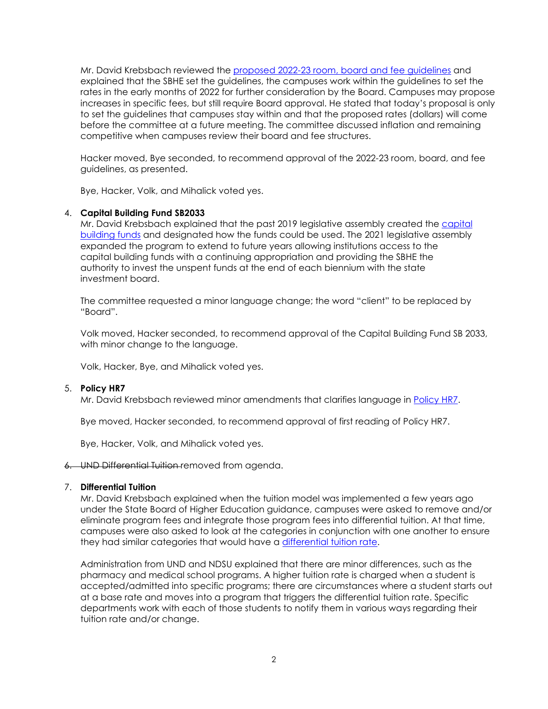Mr. David Krebsbach reviewed the [proposed 2022-23 room, board and fee guidelines](https://ndusbpos.sharepoint.com/:b:/s/NDUSSBHE/EbHZFp01Sn5Ojm_ibc2an_MBwT_ZLbACoCZY_vS39uwU7A?e=Vr44GA) and explained that the SBHE set the guidelines, the campuses work within the guidelines to set the rates in the early months of 2022 for further consideration by the Board. Campuses may propose increases in specific fees, but still require Board approval. He stated that today's proposal is only to set the guidelines that campuses stay within and that the proposed rates (dollars) will come before the committee at a future meeting. The committee discussed inflation and remaining competitive when campuses review their board and fee structures.

Hacker moved, Bye seconded, to recommend approval of the 2022-23 room, board, and fee guidelines, as presented.

Bye, Hacker, Volk, and Mihalick voted yes.

### 4. **Capital Building Fund SB2033**

Mr. David Krebsbach explained that the past 2019 legislative assembly created the [capital](https://ndusbpos.sharepoint.com/:b:/s/NDUSSBHE/EQul3g9mEghNmqLMKfA0bqIBcLBgzUR5g-6SHgCP04NRIA?e=H0GkWw)  [building funds](https://ndusbpos.sharepoint.com/:b:/s/NDUSSBHE/EQul3g9mEghNmqLMKfA0bqIBcLBgzUR5g-6SHgCP04NRIA?e=H0GkWw) and designated how the funds could be used. The 2021 legislative assembly expanded the program to extend to future years allowing institutions access to the capital building funds with a continuing appropriation and providing the SBHE the authority to invest the unspent funds at the end of each biennium with the state investment board.

The committee requested a minor language change; the word "client" to be replaced by "Board".

Volk moved, Hacker seconded, to recommend approval of the Capital Building Fund SB 2033, with minor change to the language.

Volk, Hacker, Bye, and Mihalick voted yes.

### 5. **Policy HR7**

Mr. David Krebsbach reviewed minor amendments that clarifies language in [Policy HR7.](https://ndusbpos.sharepoint.com/:b:/s/NDUSSBHE/EXpv4WHoVB9Jtn0l_eivIzcBN6YFcLnxoy3QTmomtxOq3w?e=hv4Ka3)

Bye moved, Hacker seconded, to recommend approval of first reading of Policy HR7.

Bye, Hacker, Volk, and Mihalick voted yes.

#### 6. UND Differential Tuition removed from agenda.

### 7. **Differential Tuition**

Mr. David Krebsbach explained when the tuition model was implemented a few years ago under the State Board of Higher Education guidance, campuses were asked to remove and/or eliminate program fees and integrate those program fees into differential tuition. At that time, campuses were also asked to look at the categories in conjunction with one another to ensure they had similar categories that would have a [differential tuition rate.](https://ndusbpos.sharepoint.com/:b:/s/NDUSSBHE/ETCb3FV8arRAuZJgIluJf5kB4ajzFl1G9r0RMry8FpUUXw?e=i2IuuJ)

Administration from UND and NDSU explained that there are minor differences, such as the pharmacy and medical school programs. A higher tuition rate is charged when a student is accepted/admitted into specific programs; there are circumstances where a student starts out at a base rate and moves into a program that triggers the differential tuition rate. Specific departments work with each of those students to notify them in various ways regarding their tuition rate and/or change.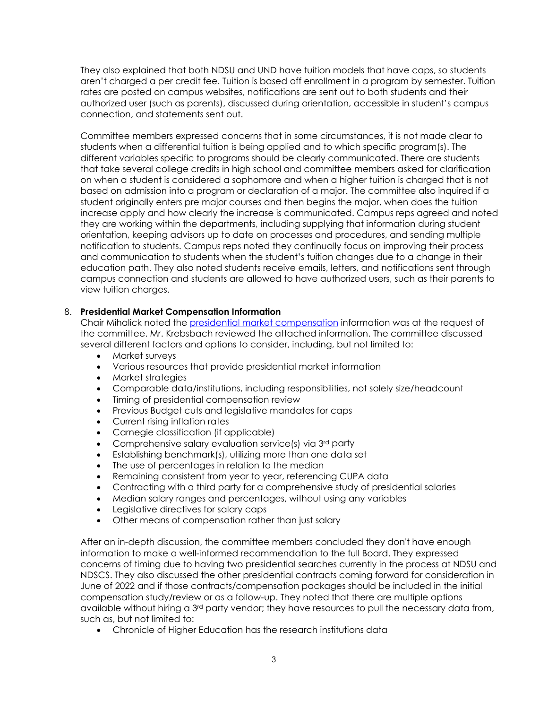They also explained that both NDSU and UND have tuition models that have caps, so students aren't charged a per credit fee. Tuition is based off enrollment in a program by semester. Tuition rates are posted on campus websites, notifications are sent out to both students and their authorized user (such as parents), discussed during orientation, accessible in student's campus connection, and statements sent out.

Committee members expressed concerns that in some circumstances, it is not made clear to students when a differential tuition is being applied and to which specific program(s). The different variables specific to programs should be clearly communicated. There are students that take several college credits in high school and committee members asked for clarification on when a student is considered a sophomore and when a higher tuition is charged that is not based on admission into a program or declaration of a major. The committee also inquired if a student originally enters pre major courses and then begins the major, when does the tuition increase apply and how clearly the increase is communicated. Campus reps agreed and noted they are working within the departments, including supplying that information during student orientation, keeping advisors up to date on processes and procedures, and sending multiple notification to students. Campus reps noted they continually focus on improving their process and communication to students when the student's tuition changes due to a change in their education path. They also noted students receive emails, letters, and notifications sent through campus connection and students are allowed to have authorized users, such as their parents to view tuition charges.

# 8. **Presidential Market Compensation Information**

Chair Mihalick noted the [presidential market compensation](https://ndusbpos.sharepoint.com/:w:/s/NDUSSBHE/ETKmw6wmW7ZKp3EIfaLHki8BWlM0td-9DlDMdN_tN6fMGQ?e=u9VbmP) information was at the request of the committee. Mr. Krebsbach reviewed the attached information. The committee discussed several different factors and options to consider, including, but not limited to:

- Market surveys
- Various resources that provide presidential market information
- Market strategies
- Comparable data/institutions, including responsibilities, not solely size/headcount
- Timing of presidential compensation review
- Previous Budget cuts and legislative mandates for caps
- Current rising inflation rates
- Carnegie classification (if applicable)
- Comprehensive salary evaluation service(s) via 3rd party
- Establishing benchmark(s), utilizing more than one data set
- The use of percentages in relation to the median
- Remaining consistent from year to year, referencing CUPA data
- Contracting with a third party for a comprehensive study of presidential salaries
- Median salary ranges and percentages, without using any variables
- Legislative directives for salary caps
- Other means of compensation rather than just salary

After an in-depth discussion, the committee members concluded they don't have enough information to make a well-informed recommendation to the full Board. They expressed concerns of timing due to having two presidential searches currently in the process at NDSU and NDSCS. They also discussed the other presidential contracts coming forward for consideration in June of 2022 and if those contracts/compensation packages should be included in the initial compensation study/review or as a follow-up. They noted that there are multiple options available without hiring a 3<sup>rd</sup> party vendor; they have resources to pull the necessary data from, such as, but not limited to:

• Chronicle of Higher Education has the research institutions data